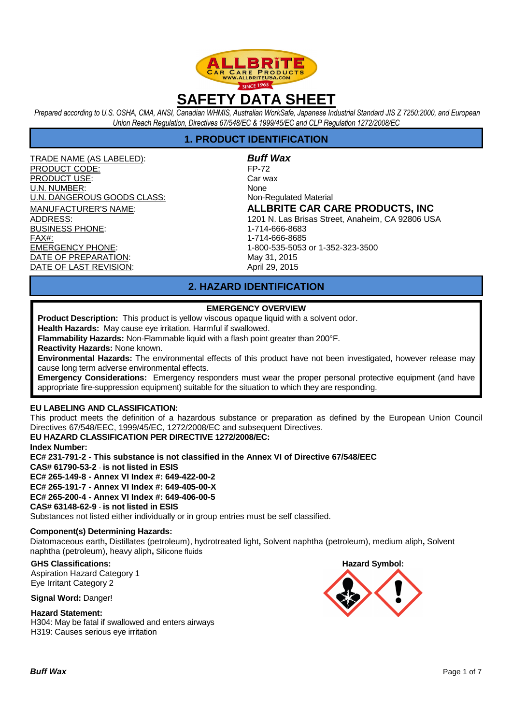

*Prepared according to U.S. OSHA, CMA, ANSI, Canadian WHMIS, Australian WorkSafe, Japanese Industrial Standard JIS Z 7250:2000, and European Union Reach Regulation, Directives 67/548/EC & 1999/45/EC and CLP Regulation 1272/2008/EC* 

## **1. PRODUCT IDENTIFICATION**

TRADE NAME (AS LABELED): **Buff Wax** PRODUCT CODE: FP-72 PRODUCT USE: Car wax U.N. NUMBER: None U.N. DANGEROUS GOODS CLASS: Non-Regulated Material BUSINESS PHONE: 1-714-666-8683 FAX#: 1-714-666-8685 EMERGENCY PHONE: 1-800-535-5053 or 1-352-323-3500 DATE OF PREPARATION: May 31, 2015 DATE OF LAST REVISION: April 29, 2015

MANUFACTURER'S NAME: **ALLBRITE CAR CARE PRODUCTS, INC** ADDRESS: 1201 N. Las Brisas Street, Anaheim, CA 92806 USA

# **2. HAZARD IDENTIFICATION**

## **EMERGENCY OVERVIEW**

**Product Description:** This product is yellow viscous opaque liquid with a solvent odor.

**Health Hazards:** May cause eye irritation. Harmful if swallowed.

**Flammability Hazards:** Non-Flammable liquid with a flash point greater than 200°F.

**Reactivity Hazards:** None known.

**Environmental Hazards:** The environmental effects of this product have not been investigated, however release may cause long term adverse environmental effects.

**Emergency Considerations:** Emergency responders must wear the proper personal protective equipment (and have appropriate fire-suppression equipment) suitable for the situation to which they are responding.

## **EU LABELING AND CLASSIFICATION:**

This product meets the definition of a hazardous substance or preparation as defined by the European Union Council Directives 67/548/EEC, 1999/45/EC, 1272/2008/EC and subsequent Directives.

## **EU HAZARD CLASSIFICATION PER DIRECTIVE 1272/2008/EC:**

**Index Number:** 

**EC# 231-791-2 - This substance is not classified in the Annex VI of Directive 67/548/EEC CAS# 61790-53-2** - **is not listed in ESIS** 

**EC# 265-149-8 - Annex VI Index #: 649-422-00-2** 

**EC# 265-191-7 - Annex VI Index #: 649-405-00-X** 

**EC# 265-200-4 - Annex VI Index #: 649-406-00-5** 

## **CAS# 63148-62-9** - **is not listed in ESIS**

Substances not listed either individually or in group entries must be self classified.

## **Component(s) Determining Hazards:**

Diatomaceous earth**,** Distillates (petroleum), hydrotreated light**,** Solvent naphtha (petroleum), medium aliph**,** Solvent naphtha (petroleum), heavy aliph**,** Silicone fluids

**GHS Classifications:**  Aspiration Hazard Category 1 Eye Irritant Category 2

**Signal Word:** Danger!

**Hazard Statement:** H304: May be fatal if swallowed and enters airways H319: Causes serious eye irritation

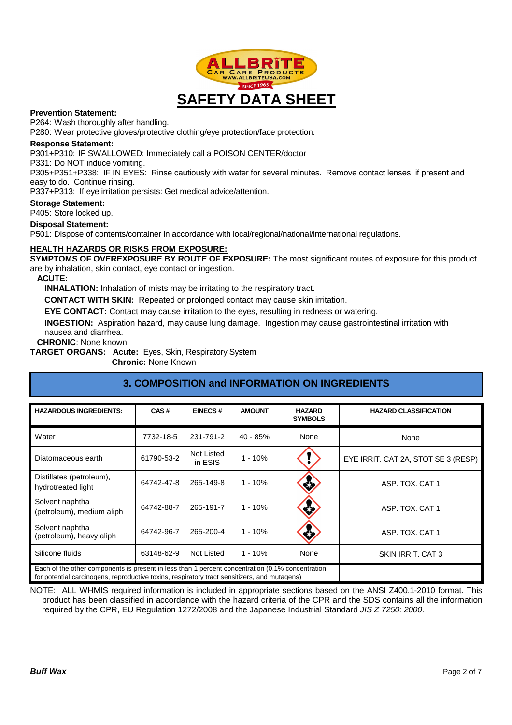

#### **Prevention Statement:**

P264: Wash thoroughly after handling.

P280: Wear protective gloves/protective clothing/eye protection/face protection.

#### **Response Statement:**

P301+P310: IF SWALLOWED: Immediately call a POISON CENTER/doctor

P331: Do NOT induce vomiting.

P305+P351+P338: IF IN EYES: Rinse cautiously with water for several minutes. Remove contact lenses, if present and easy to do. Continue rinsing.

P337+P313: If eye irritation persists: Get medical advice/attention.

## **Storage Statement:**

P405: Store locked up.

#### **Disposal Statement:**

P501: Dispose of contents/container in accordance with local/regional/national/international regulations.

## **HEALTH HAZARDS OR RISKS FROM EXPOSURE:**

**SYMPTOMS OF OVEREXPOSURE BY ROUTE OF EXPOSURE:** The most significant routes of exposure for this product are by inhalation, skin contact, eye contact or ingestion.

#### **ACUTE:**

**INHALATION:** Inhalation of mists may be irritating to the respiratory tract.

**CONTACT WITH SKIN:** Repeated or prolonged contact may cause skin irritation.

**EYE CONTACT:** Contact may cause irritation to the eyes, resulting in redness or watering.

**INGESTION:** Aspiration hazard, may cause lung damage. Ingestion may cause gastrointestinal irritation with nausea and diarrhea.

**CHRONIC**: None known

**TARGET ORGANS: Acute:** Eyes, Skin, Respiratory System

**Chronic:** None Known

| <b>HAZARDOUS INGREDIENTS:</b>                                                                                                                                                                    | CAS#       | <b>EINECS#</b>        | <b>AMOUNT</b> | <b>HAZARD</b><br><b>SYMBOLS</b> | <b>HAZARD CLASSIFICATION</b>        |
|--------------------------------------------------------------------------------------------------------------------------------------------------------------------------------------------------|------------|-----------------------|---------------|---------------------------------|-------------------------------------|
| Water                                                                                                                                                                                            | 7732-18-5  | 231-791-2             | 40 - 85%      | None                            | None                                |
| Diatomaceous earth                                                                                                                                                                               | 61790-53-2 | Not Listed<br>in ESIS | $1 - 10%$     |                                 | EYE IRRIT. CAT 2A, STOT SE 3 (RESP) |
| Distillates (petroleum),<br>hydrotreated light                                                                                                                                                   | 64742-47-8 | 265-149-8             | $1 - 10%$     | ¢,                              | ASP. TOX. CAT 1                     |
| Solvent naphtha<br>(petroleum), medium aliph                                                                                                                                                     | 64742-88-7 | 265-191-7             | $1 - 10%$     | ≼≿                              | ASP. TOX. CAT 1                     |
| Solvent naphtha<br>(petroleum), heavy aliph                                                                                                                                                      | 64742-96-7 | 265-200-4             | $1 - 10%$     | 落                               | ASP. TOX. CAT 1                     |
| Silicone fluids                                                                                                                                                                                  | 63148-62-9 | Not Listed            | $1 - 10%$     | None                            | SKIN IRRIT, CAT 3                   |
| Each of the other components is present in less than 1 percent concentration (0.1% concentration<br>for potential carcinogens, reproductive toxins, respiratory tract sensitizers, and mutagens) |            |                       |               |                                 |                                     |

# **3. COMPOSITION and INFORMATION ON INGREDIENTS**

NOTE: ALL WHMIS required information is included in appropriate sections based on the ANSI Z400.1-2010 format. This product has been classified in accordance with the hazard criteria of the CPR and the SDS contains all the information required by the CPR, EU Regulation 1272/2008 and the Japanese Industrial Standard JIS Z 7250: 2000.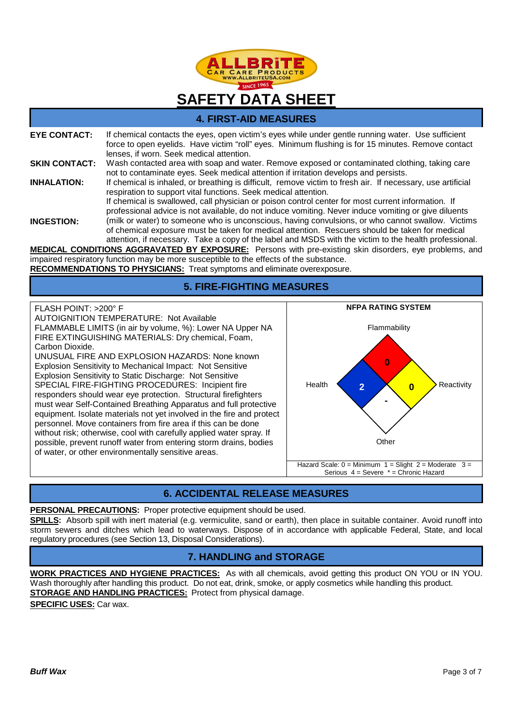

## **4. FIRST-AID MEASURES**

| <b>EYE CONTACT:</b>  | If chemical contacts the eyes, open victim's eyes while under gentle running water. Use sufficient<br>force to open eyelids. Have victim "roll" eyes. Minimum flushing is for 15 minutes. Remove contact<br>lenses, if worn. Seek medical attention.                                                          |
|----------------------|---------------------------------------------------------------------------------------------------------------------------------------------------------------------------------------------------------------------------------------------------------------------------------------------------------------|
| <b>SKIN CONTACT:</b> | Wash contacted area with soap and water. Remove exposed or contaminated clothing, taking care<br>not to contaminate eyes. Seek medical attention if irritation develops and persists.                                                                                                                         |
| <b>INHALATION:</b>   | If chemical is inhaled, or breathing is difficult, remove victim to fresh air. If necessary, use artificial<br>respiration to support vital functions. Seek medical attention.                                                                                                                                |
|                      | If chemical is swallowed, call physician or poison control center for most current information. If<br>professional advice is not available, do not induce vomiting. Never induce vomiting or give diluents                                                                                                    |
| <b>INGESTION:</b>    | (milk or water) to someone who is unconscious, having convulsions, or who cannot swallow. Victims<br>of chemical exposure must be taken for medical attention. Rescuers should be taken for medical<br>attention, if necessary. Take a copy of the label and MSDS with the victim to the health professional. |
|                      | <b>MEDICAL CONDITIONS AGGRAVATED BY EXPOSURE:</b> Persons with pre-existing skin disorders, eye problems, and                                                                                                                                                                                                 |
|                      | impaired respiratory function may be more susceptible to the effects of the substance.                                                                                                                                                                                                                        |
|                      | <b>RECOMMENDATIONS TO PHYSICIANS: Treat symptoms and eliminate overexposure.</b>                                                                                                                                                                                                                              |

## **5. FIRE-FIGHTING MEASURES**

FLASH POINT: >200° F

AUTOIGNITION TEMPERATURE: Not Available FLAMMABLE LIMITS (in air by volume, %): Lower NA Upper NA FIRE EXTINGUISHING MATERIALS: Dry chemical, Foam, Carbon Dioxide.

UNUSUAL FIRE AND EXPLOSION HAZARDS: None known Explosion Sensitivity to Mechanical Impact: Not Sensitive Explosion Sensitivity to Static Discharge: Not Sensitive SPECIAL FIRE-FIGHTING PROCEDURES: Incipient fire responders should wear eye protection. Structural firefighters must wear Self-Contained Breathing Apparatus and full protective equipment. Isolate materials not yet involved in the fire and protect personnel. Move containers from fire area if this can be done without risk; otherwise, cool with carefully applied water spray. If possible, prevent runoff water from entering storm drains, bodies of water, or other environmentally sensitive areas.



# **6. ACCIDENTAL RELEASE MEASURES**

## **PERSONAL PRECAUTIONS:** Proper protective equipment should be used.

**SPILLS:** Absorb spill with inert material (e.g. vermiculite, sand or earth), then place in suitable container. Avoid runoff into storm sewers and ditches which lead to waterways. Dispose of in accordance with applicable Federal, State, and local regulatory procedures (see Section 13, Disposal Considerations).

# **7. HANDLING and STORAGE**

**WORK PRACTICES AND HYGIENE PRACTICES:** As with all chemicals, avoid getting this product ON YOU or IN YOU. Wash thoroughly after handling this product. Do not eat, drink, smoke, or apply cosmetics while handling this product. **STORAGE AND HANDLING PRACTICES:** Protect from physical damage.

**SPECIFIC USES:** Car wax.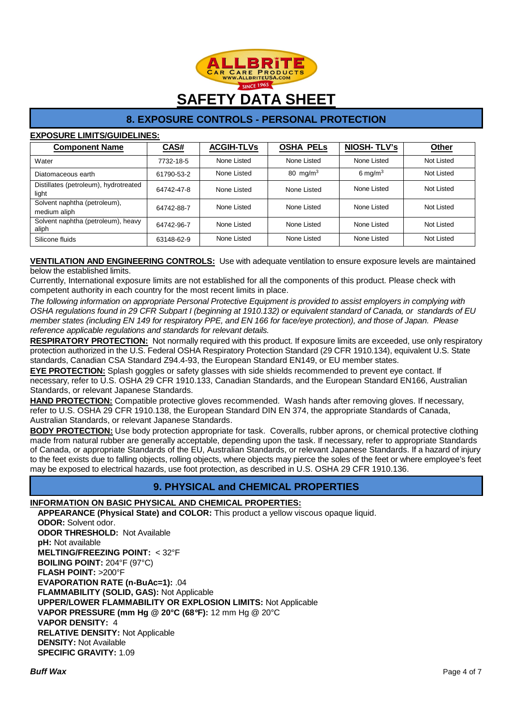

# **8. EXPOSURE CONTROLS - PERSONAL PROTECTION**

## **EXPOSURE LIMITS/GUIDELINES:**

| <b>Component Name</b>                          | CAS#       | <b>ACGIH-TLVs</b> | <b>OSHA PELS</b>     | <b>NIOSH-TLV's</b> | <b>Other</b> |
|------------------------------------------------|------------|-------------------|----------------------|--------------------|--------------|
| Water                                          | 7732-18-5  | None Listed       | None Listed          | None Listed        | Not Listed   |
| Diatomaceous earth                             | 61790-53-2 | None Listed       | 80 mg/m <sup>3</sup> | 6 mg/m $3$         | Not Listed   |
| Distillates (petroleum), hydrotreated<br>light | 64742-47-8 | None Listed       | None Listed          | None Listed        | Not Listed   |
| Solvent naphtha (petroleum),<br>medium aliph   | 64742-88-7 | None Listed       | None Listed          | None Listed        | Not Listed   |
| Solvent naphtha (petroleum), heavy<br>aliph    | 64742-96-7 | None Listed       | None Listed          | None Listed        | Not Listed   |
| Silicone fluids                                | 63148-62-9 | None Listed       | None Listed          | None Listed        | Not Listed   |

## **VENTILATION AND ENGINEERING CONTROLS:** Use with adequate ventilation to ensure exposure levels are maintained below the established limits.

Currently, International exposure limits are not established for all the components of this product. Please check with competent authority in each country for the most recent limits in place.

The following information on appropriate Personal Protective Equipment is provided to assist employers in complying with OSHA regulations found in 29 CFR Subpart I (beginning at 1910.132) or equivalent standard of Canada, or standards of EU member states (including EN 149 for respiratory PPE, and EN 166 for face/eye protection), and those of Japan. Please reference applicable regulations and standards for relevant details.

**RESPIRATORY PROTECTION:** Not normally required with this product. If exposure limits are exceeded, use only respiratory protection authorized in the U.S. Federal OSHA Respiratory Protection Standard (29 CFR 1910.134), equivalent U.S. State standards, Canadian CSA Standard Z94.4-93, the European Standard EN149, or EU member states.

**EYE PROTECTION:** Splash goggles or safety glasses with side shields recommended to prevent eye contact. If necessary, refer to U.S. OSHA 29 CFR 1910.133, Canadian Standards, and the European Standard EN166, Australian Standards, or relevant Japanese Standards.

**HAND PROTECTION:** Compatible protective gloves recommended. Wash hands after removing gloves. If necessary, refer to U.S. OSHA 29 CFR 1910.138, the European Standard DIN EN 374, the appropriate Standards of Canada, Australian Standards, or relevant Japanese Standards.

**BODY PROTECTION:** Use body protection appropriate for task. Coveralls, rubber aprons, or chemical protective clothing made from natural rubber are generally acceptable, depending upon the task. If necessary, refer to appropriate Standards of Canada, or appropriate Standards of the EU, Australian Standards, or relevant Japanese Standards. If a hazard of injury to the feet exists due to falling objects, rolling objects, where objects may pierce the soles of the feet or where employee's feet may be exposed to electrical hazards, use foot protection, as described in U.S. OSHA 29 CFR 1910.136.

# **9. PHYSICAL and CHEMICAL PROPERTIES**

## **INFORMATION ON BASIC PHYSICAL AND CHEMICAL PROPERTIES:**

**APPEARANCE (Physical State) and COLOR:** This product a yellow viscous opaque liquid. **ODOR:** Solvent odor.

**ODOR THRESHOLD:** Not Available **pH:** Not available **MELTING/FREEZING POINT:** < 32°F **BOILING POINT:** 204°F (97°C) **FLASH POINT:** >200°F **EVAPORATION RATE (n-BuAc=1):** .04 **FLAMMABILITY (SOLID, GAS):** Not Applicable **UPPER/LOWER FLAMMABILITY OR EXPLOSION LIMITS:** Not Applicable **VAPOR PRESSURE (mm Hg @ 20°C (68**°**F):** 12 mm Hg @ 20°C **VAPOR DENSITY:** 4 **RELATIVE DENSITY:** Not Applicable **DENSITY:** Not Available **SPECIFIC GRAVITY:** 1.09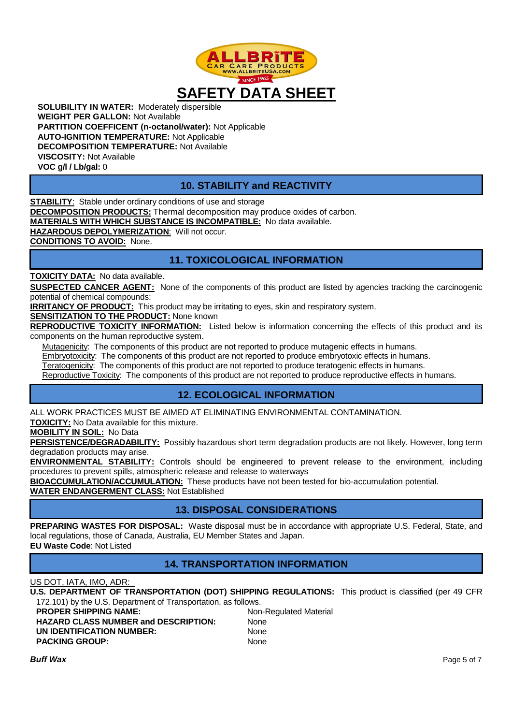

**SOLUBILITY IN WATER:** Moderately dispersible **WEIGHT PER GALLON:** Not Available **PARTITION COEFFICENT (n-octanol/water):** Not Applicable **AUTO-IGNITION TEMPERATURE:** Not Applicable **DECOMPOSITION TEMPERATURE:** Not Available **VISCOSITY:** Not Available **VOC g/l / Lb/gal:** 0

# **10. STABILITY and REACTIVITY**

**STABILITY**: Stable under ordinary conditions of use and storage **DECOMPOSITION PRODUCTS:** Thermal decomposition may produce oxides of carbon. **MATERIALS WITH WHICH SUBSTANCE IS INCOMPATIBLE:** No data available. **HAZARDOUS DEPOLYMERIZATION**: Will not occur.

**CONDITIONS TO AVOID:** None.

# **11. TOXICOLOGICAL INFORMATION**

**TOXICITY DATA:** No data available.

**SUSPECTED CANCER AGENT:** None of the components of this product are listed by agencies tracking the carcinogenic potential of chemical compounds:

**IRRITANCY OF PRODUCT:** This product may be irritating to eyes, skin and respiratory system.

**SENSITIZATION TO THE PRODUCT:** None known

**REPRODUCTIVE TOXICITY INFORMATION:** Listed below is information concerning the effects of this product and its components on the human reproductive system.

Mutagenicity: The components of this product are not reported to produce mutagenic effects in humans.

Embryotoxicity: The components of this product are not reported to produce embryotoxic effects in humans.

Teratogenicity: The components of this product are not reported to produce teratogenic effects in humans.

Reproductive Toxicity: The components of this product are not reported to produce reproductive effects in humans.

# **12. ECOLOGICAL INFORMATION**

ALL WORK PRACTICES MUST BE AIMED AT ELIMINATING ENVIRONMENTAL CONTAMINATION.

**TOXICITY:** No Data available for this mixture.

**MOBILITY IN SOIL:** No Data

**PERSISTENCE/DEGRADABILITY:** Possibly hazardous short term degradation products are not likely. However, long term degradation products may arise.

**ENVIRONMENTAL STABILITY:** Controls should be engineered to prevent release to the environment, including procedures to prevent spills, atmospheric release and release to waterways

**BIOACCUMULATION/ACCUMULATION:** These products have not been tested for bio-accumulation potential.

**WATER ENDANGERMENT CLASS:** Not Established

# **13. DISPOSAL CONSIDERATIONS**

**PREPARING WASTES FOR DISPOSAL:** Waste disposal must be in accordance with appropriate U.S. Federal, State, and local regulations, those of Canada, Australia, EU Member States and Japan. **EU Waste Code**: Not Listed

# **14. TRANSPORTATION INFORMATION**

US DOT, IATA, IMO, ADR:

**U.S. DEPARTMENT OF TRANSPORTATION (DOT) SHIPPING REGULATIONS:** This product is classified (per 49 CFR 172.101) by the U.S. Department of Transportation, as follows.

| Non-Regulated Material |
|------------------------|
| <b>None</b>            |
| None                   |
| None                   |
|                        |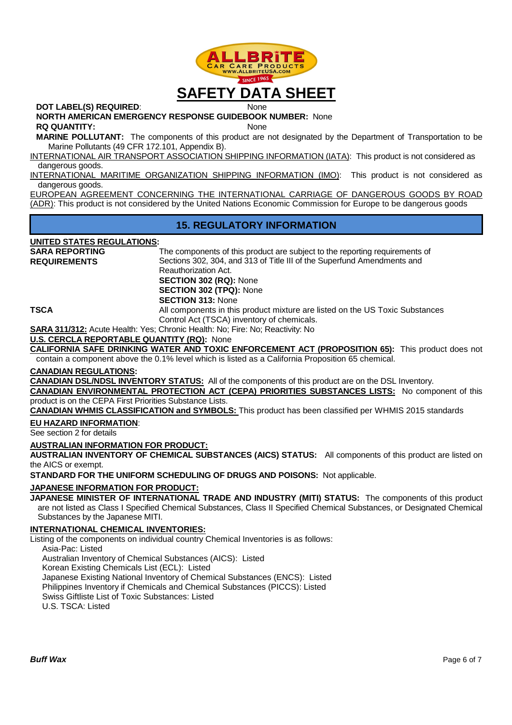

**DOT LABEL(S) REQUIRED:** None

**NORTH AMERICAN EMERGENCY RESPONSE GUIDEBOOK NUMBER:** None

**RQ QUANTITY:** None

**MARINE POLLUTANT:** The components of this product are not designated by the Department of Transportation to be Marine Pollutants (49 CFR 172.101, Appendix B).

INTERNATIONAL AIR TRANSPORT ASSOCIATION SHIPPING INFORMATION (IATA): This product is not considered as dangerous goods.

INTERNATIONAL MARITIME ORGANIZATION SHIPPING INFORMATION (IMO): This product is not considered as dangerous goods.

EUROPEAN AGREEMENT CONCERNING THE INTERNATIONAL CARRIAGE OF DANGEROUS GOODS BY ROAD (ADR): This product is not considered by the United Nations Economic Commission for Europe to be dangerous goods

## **15. REGULATORY INFORMATION**

## **UNITED STATES REGULATIONS:**

**SARA REPORTING REQUIREMENTS** 

The components of this product are subject to the reporting requirements of Sections 302, 304, and 313 of Title III of the Superfund Amendments and Reauthorization Act. **SECTION 302 (RQ):** None **SECTION 302 (TPQ):** None **SECTION 313:** None **TSCA** All components in this product mixture are listed on the US Toxic Substances

Control Act (TSCA) inventory of chemicals.

**SARA 311/312:** Acute Health: Yes; Chronic Health: No; Fire: No; Reactivity: No

## **U.S. CERCLA REPORTABLE QUANTITY (RQ):** None

**CALIFORNIA SAFE DRINKING WATER AND TOXIC ENFORCEMENT ACT (PROPOSITION 65):** This product does not contain a component above the 0.1% level which is listed as a California Proposition 65 chemical.

## **CANADIAN REGULATIONS:**

**CANADIAN DSL/NDSL INVENTORY STATUS:** All of the components of this product are on the DSL Inventory.

**CANADIAN ENVIRONMENTAL PROTECTION ACT (CEPA) PRIORITIES SUBSTANCES LISTS:** No component of this product is on the CEPA First Priorities Substance Lists.

**CANADIAN WHMIS CLASSIFICATION and SYMBOLS:** This product has been classified per WHMIS 2015 standards

## **EU HAZARD INFORMATION**:

See section 2 for details

## **AUSTRALIAN INFORMATION FOR PRODUCT:**

**AUSTRALIAN INVENTORY OF CHEMICAL SUBSTANCES (AICS) STATUS:** All components of this product are listed on the AICS or exempt.

**STANDARD FOR THE UNIFORM SCHEDULING OF DRUGS AND POISONS:** Not applicable.

**JAPANESE INFORMATION FOR PRODUCT:** 

**JAPANESE MINISTER OF INTERNATIONAL TRADE AND INDUSTRY (MITI) STATUS:** The components of this product are not listed as Class I Specified Chemical Substances, Class II Specified Chemical Substances, or Designated Chemical Substances by the Japanese MITI.

## **INTERNATIONAL CHEMICAL INVENTORIES:**

Listing of the components on individual country Chemical Inventories is as follows:

Asia-Pac: Listed

Australian Inventory of Chemical Substances (AICS): Listed

Korean Existing Chemicals List (ECL): Listed

Japanese Existing National Inventory of Chemical Substances (ENCS): Listed

Philippines Inventory if Chemicals and Chemical Substances (PICCS): Listed

Swiss Giftliste List of Toxic Substances: Listed

U.S. TSCA: Listed